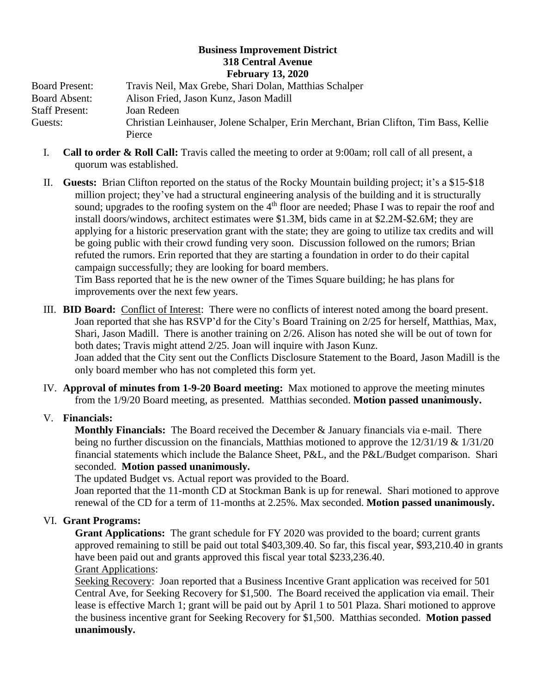#### **Business Improvement District 318 Central Avenue February 13, 2020**

Board Present: Travis Neil, Max Grebe, Shari Dolan, Matthias Schalper Board Absent: Alison Fried, Jason Kunz, Jason Madill Staff Present: Joan Redeen Guests: Christian Leinhauser, Jolene Schalper, Erin Merchant, Brian Clifton, Tim Bass, Kellie Pierce

- I. **Call to order & Roll Call:** Travis called the meeting to order at 9:00am; roll call of all present, a quorum was established.
- II. **Guests:** Brian Clifton reported on the status of the Rocky Mountain building project; it's a \$15-\$18 million project; they've had a structural engineering analysis of the building and it is structurally sound; upgrades to the roofing system on the 4<sup>th</sup> floor are needed; Phase I was to repair the roof and install doors/windows, architect estimates were \$1.3M, bids came in at \$2.2M-\$2.6M; they are applying for a historic preservation grant with the state; they are going to utilize tax credits and will be going public with their crowd funding very soon. Discussion followed on the rumors; Brian refuted the rumors. Erin reported that they are starting a foundation in order to do their capital campaign successfully; they are looking for board members.

Tim Bass reported that he is the new owner of the Times Square building; he has plans for improvements over the next few years.

- III. **BID Board:** Conflict of Interest: There were no conflicts of interest noted among the board present. Joan reported that she has RSVP'd for the City's Board Training on 2/25 for herself, Matthias, Max, Shari, Jason Madill. There is another training on 2/26. Alison has noted she will be out of town for both dates; Travis might attend 2/25. Joan will inquire with Jason Kunz. Joan added that the City sent out the Conflicts Disclosure Statement to the Board, Jason Madill is the only board member who has not completed this form yet.
- IV. **Approval of minutes from 1-9-20 Board meeting:** Max motioned to approve the meeting minutes from the 1/9/20 Board meeting, as presented. Matthias seconded. **Motion passed unanimously.**

# V. **Financials:**

**Monthly Financials:** The Board received the December & January financials via e-mail. There being no further discussion on the financials, Matthias motioned to approve the  $12/31/19 \& 1/31/20$ financial statements which include the Balance Sheet, P&L, and the P&L/Budget comparison. Shari seconded. **Motion passed unanimously.**

The updated Budget vs. Actual report was provided to the Board.

Joan reported that the 11-month CD at Stockman Bank is up for renewal. Shari motioned to approve renewal of the CD for a term of 11-months at 2.25%. Max seconded. **Motion passed unanimously.** 

# VI. **Grant Programs:**

**Grant Applications:** The grant schedule for FY 2020 was provided to the board; current grants approved remaining to still be paid out total \$403,309.40. So far, this fiscal year, \$93,210.40 in grants have been paid out and grants approved this fiscal year total \$233,236.40.

# Grant Applications:

Seeking Recovery: Joan reported that a Business Incentive Grant application was received for 501 Central Ave, for Seeking Recovery for \$1,500. The Board received the application via email. Their lease is effective March 1; grant will be paid out by April 1 to 501 Plaza. Shari motioned to approve the business incentive grant for Seeking Recovery for \$1,500. Matthias seconded. **Motion passed unanimously.**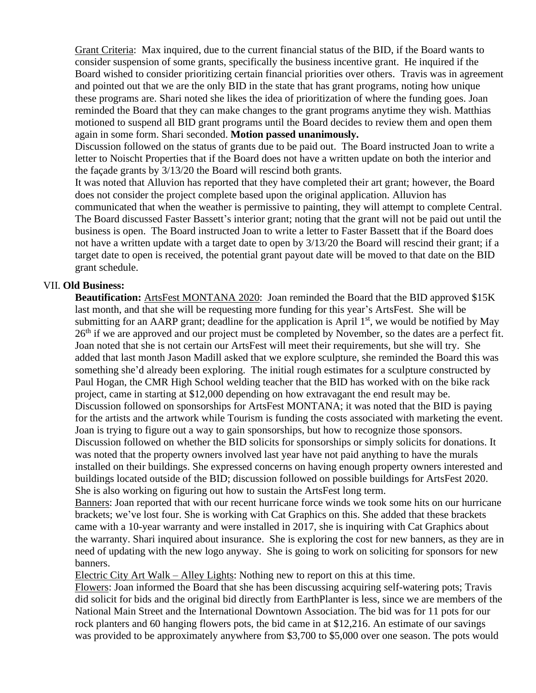Grant Criteria: Max inquired, due to the current financial status of the BID, if the Board wants to consider suspension of some grants, specifically the business incentive grant. He inquired if the Board wished to consider prioritizing certain financial priorities over others. Travis was in agreement and pointed out that we are the only BID in the state that has grant programs, noting how unique these programs are. Shari noted she likes the idea of prioritization of where the funding goes. Joan reminded the Board that they can make changes to the grant programs anytime they wish. Matthias motioned to suspend all BID grant programs until the Board decides to review them and open them again in some form. Shari seconded. **Motion passed unanimously.** 

Discussion followed on the status of grants due to be paid out. The Board instructed Joan to write a letter to Noischt Properties that if the Board does not have a written update on both the interior and the façade grants by 3/13/20 the Board will rescind both grants.

It was noted that Alluvion has reported that they have completed their art grant; however, the Board does not consider the project complete based upon the original application. Alluvion has communicated that when the weather is permissive to painting, they will attempt to complete Central. The Board discussed Faster Bassett's interior grant; noting that the grant will not be paid out until the business is open. The Board instructed Joan to write a letter to Faster Bassett that if the Board does not have a written update with a target date to open by 3/13/20 the Board will rescind their grant; if a target date to open is received, the potential grant payout date will be moved to that date on the BID grant schedule.

#### VII. **Old Business:**

**Beautification:** ArtsFest MONTANA 2020: Joan reminded the Board that the BID approved \$15K last month, and that she will be requesting more funding for this year's ArtsFest. She will be submitting for an AARP grant; deadline for the application is April  $1<sup>st</sup>$ , we would be notified by May 26<sup>th</sup> if we are approved and our project must be completed by November, so the dates are a perfect fit. Joan noted that she is not certain our ArtsFest will meet their requirements, but she will try. She added that last month Jason Madill asked that we explore sculpture, she reminded the Board this was something she'd already been exploring. The initial rough estimates for a sculpture constructed by Paul Hogan, the CMR High School welding teacher that the BID has worked with on the bike rack project, came in starting at \$12,000 depending on how extravagant the end result may be. Discussion followed on sponsorships for ArtsFest MONTANA; it was noted that the BID is paying for the artists and the artwork while Tourism is funding the costs associated with marketing the event. Joan is trying to figure out a way to gain sponsorships, but how to recognize those sponsors. Discussion followed on whether the BID solicits for sponsorships or simply solicits for donations. It was noted that the property owners involved last year have not paid anything to have the murals installed on their buildings. She expressed concerns on having enough property owners interested and buildings located outside of the BID; discussion followed on possible buildings for ArtsFest 2020. She is also working on figuring out how to sustain the ArtsFest long term.

Banners: Joan reported that with our recent hurricane force winds we took some hits on our hurricane brackets; we've lost four. She is working with Cat Graphics on this. She added that these brackets came with a 10-year warranty and were installed in 2017, she is inquiring with Cat Graphics about the warranty. Shari inquired about insurance. She is exploring the cost for new banners, as they are in need of updating with the new logo anyway. She is going to work on soliciting for sponsors for new banners.

Electric City Art Walk – Alley Lights: Nothing new to report on this at this time.

Flowers: Joan informed the Board that she has been discussing acquiring self-watering pots; Travis did solicit for bids and the original bid directly from EarthPlanter is less, since we are members of the National Main Street and the International Downtown Association. The bid was for 11 pots for our rock planters and 60 hanging flowers pots, the bid came in at \$12,216. An estimate of our savings was provided to be approximately anywhere from \$3,700 to \$5,000 over one season. The pots would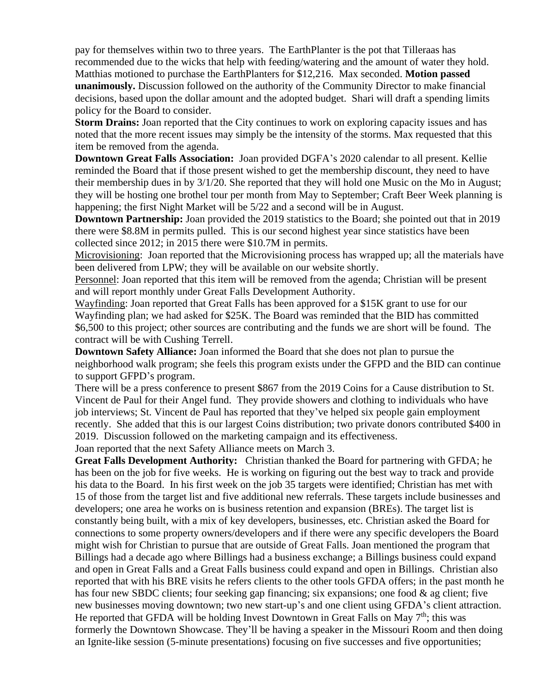pay for themselves within two to three years. The EarthPlanter is the pot that Tilleraas has recommended due to the wicks that help with feeding/watering and the amount of water they hold. Matthias motioned to purchase the EarthPlanters for \$12,216. Max seconded. **Motion passed unanimously.** Discussion followed on the authority of the Community Director to make financial decisions, based upon the dollar amount and the adopted budget. Shari will draft a spending limits policy for the Board to consider.

**Storm Drains:** Joan reported that the City continues to work on exploring capacity issues and has noted that the more recent issues may simply be the intensity of the storms. Max requested that this item be removed from the agenda.

**Downtown Great Falls Association:** Joan provided DGFA's 2020 calendar to all present. Kellie reminded the Board that if those present wished to get the membership discount, they need to have their membership dues in by 3/1/20. She reported that they will hold one Music on the Mo in August; they will be hosting one brothel tour per month from May to September; Craft Beer Week planning is happening; the first Night Market will be 5/22 and a second will be in August.

**Downtown Partnership:** Joan provided the 2019 statistics to the Board; she pointed out that in 2019 there were \$8.8M in permits pulled. This is our second highest year since statistics have been collected since 2012; in 2015 there were \$10.7M in permits.

Microvisioning: Joan reported that the Microvisioning process has wrapped up; all the materials have been delivered from LPW; they will be available on our website shortly.

Personnel: Joan reported that this item will be removed from the agenda; Christian will be present and will report monthly under Great Falls Development Authority.

Wayfinding: Joan reported that Great Falls has been approved for a \$15K grant to use for our Wayfinding plan; we had asked for \$25K. The Board was reminded that the BID has committed \$6,500 to this project; other sources are contributing and the funds we are short will be found. The contract will be with Cushing Terrell.

**Downtown Safety Alliance:** Joan informed the Board that she does not plan to pursue the neighborhood walk program; she feels this program exists under the GFPD and the BID can continue to support GFPD's program.

There will be a press conference to present \$867 from the 2019 Coins for a Cause distribution to St. Vincent de Paul for their Angel fund. They provide showers and clothing to individuals who have job interviews; St. Vincent de Paul has reported that they've helped six people gain employment recently. She added that this is our largest Coins distribution; two private donors contributed \$400 in 2019. Discussion followed on the marketing campaign and its effectiveness.

Joan reported that the next Safety Alliance meets on March 3.

**Great Falls Development Authority:** Christian thanked the Board for partnering with GFDA; he has been on the job for five weeks. He is working on figuring out the best way to track and provide his data to the Board. In his first week on the job 35 targets were identified; Christian has met with 15 of those from the target list and five additional new referrals. These targets include businesses and developers; one area he works on is business retention and expansion (BREs). The target list is constantly being built, with a mix of key developers, businesses, etc. Christian asked the Board for connections to some property owners/developers and if there were any specific developers the Board might wish for Christian to pursue that are outside of Great Falls. Joan mentioned the program that Billings had a decade ago where Billings had a business exchange; a Billings business could expand and open in Great Falls and a Great Falls business could expand and open in Billings. Christian also reported that with his BRE visits he refers clients to the other tools GFDA offers; in the past month he has four new SBDC clients; four seeking gap financing; six expansions; one food & ag client; five new businesses moving downtown; two new start-up's and one client using GFDA's client attraction. He reported that GFDA will be holding Invest Downtown in Great Falls on May  $7<sup>th</sup>$ ; this was formerly the Downtown Showcase. They'll be having a speaker in the Missouri Room and then doing an Ignite-like session (5-minute presentations) focusing on five successes and five opportunities;